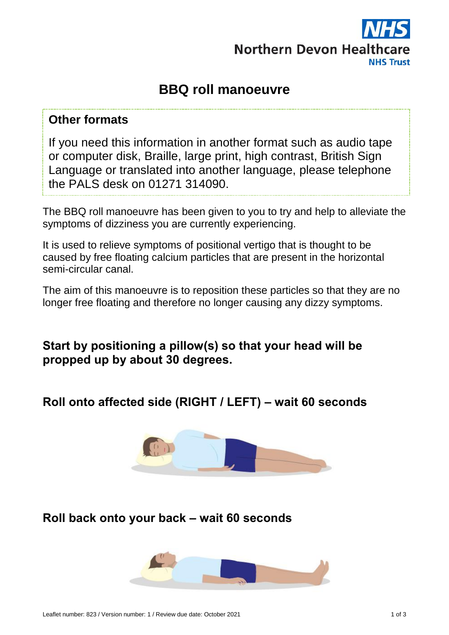

# **BBQ roll manoeuvre**

#### **Other formats**

If you need this information in another format such as audio tape or computer disk, Braille, large print, high contrast, British Sign Language or translated into another language, please telephone the PALS desk on 01271 314090.

The BBQ roll manoeuvre has been given to you to try and help to alleviate the symptoms of dizziness you are currently experiencing.

It is used to relieve symptoms of positional vertigo that is thought to be caused by free floating calcium particles that are present in the horizontal semi-circular canal.

The aim of this manoeuvre is to reposition these particles so that they are no longer free floating and therefore no longer causing any dizzy symptoms.

**Start by positioning a pillow(s) so that your head will be propped up by about 30 degrees.**

**Roll onto affected side (RIGHT / LEFT) – wait 60 seconds**



**Roll back onto your back – wait 60 seconds**

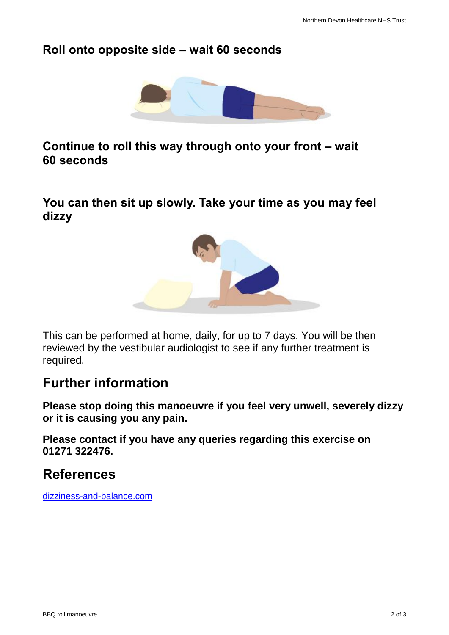### **Roll onto opposite side – wait 60 seconds**



**Continue to roll this way through onto your front – wait 60 seconds**

**You can then sit up slowly. Take your time as you may feel dizzy**



This can be performed at home, daily, for up to 7 days. You will be then reviewed by the vestibular audiologist to see if any further treatment is required.

## **Further information**

**Please stop doing this manoeuvre if you feel very unwell, severely dizzy or it is causing you any pain.**

**Please contact if you have any queries regarding this exercise on 01271 322476.**

## **References**

[dizziness-and-balance.com](http://dizziness-and-balance.com/)